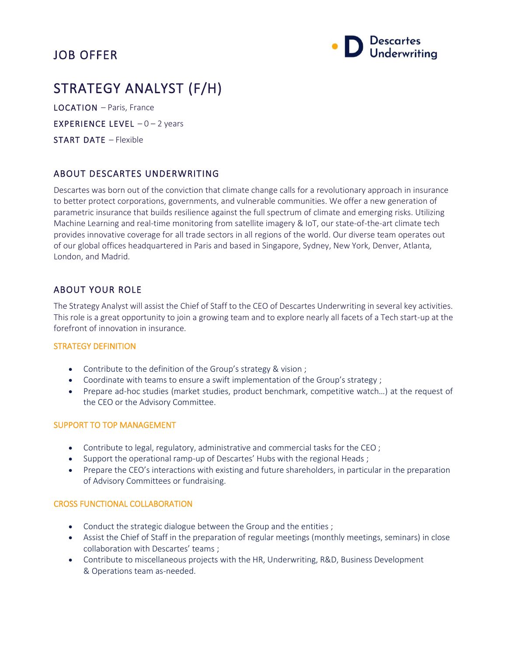# JOB OFFER



# STRATEGY ANALYST (F/H)

LOCATION – Paris, France

**EXPERIENCE LEVEL**  $-0-2$  years

START DATE – Flexible

# ABOUT DESCARTES UNDERWRITING

Descartes was born out of the conviction that climate change calls for a revolutionary approach in insurance to better protect corporations, governments, and vulnerable communities. We offer a new generation of parametric insurance that builds resilience against the full spectrum of climate and emerging risks. Utilizing Machine Learning and real-time monitoring from satellite imagery & IoT, our state-of-the-art climate tech provides innovative coverage for all trade sectors in all regions of the world. Our diverse team operates out of our global offices headquartered in Paris and based in Singapore, Sydney, New York, Denver, Atlanta, London, and Madrid.

# ABOUT YOUR ROLE

The Strategy Analyst will assist the Chief of Staff to the CEO of Descartes Underwriting in several key activities. This role is a great opportunity to join a growing team and to explore nearly all facets of a Tech start-up at the forefront of innovation in insurance.

#### STRATEGY DEFINITION

- Contribute to the definition of the Group's strategy & vision ;
- Coordinate with teams to ensure a swift implementation of the Group's strategy ;
- Prepare ad-hoc studies (market studies, product benchmark, competitive watch…) at the request of the CEO or the Advisory Committee.

#### SUPPORT TO TOP MANAGEMENT

- Contribute to legal, regulatory, administrative and commercial tasks for the CEO ;
- Support the operational ramp-up of Descartes' Hubs with the regional Heads ;
- Prepare the CEO's interactions with existing and future shareholders, in particular in the preparation of Advisory Committees or fundraising.

### CROSS FUNCTIONAL COLLABORATION

- Conduct the strategic dialogue between the Group and the entities ;
- Assist the Chief of Staff in the preparation of regular meetings (monthly meetings, seminars) in close collaboration with Descartes' teams ;
- Contribute to miscellaneous projects with the HR, Underwriting, R&D, Business Development & Operations team as-needed.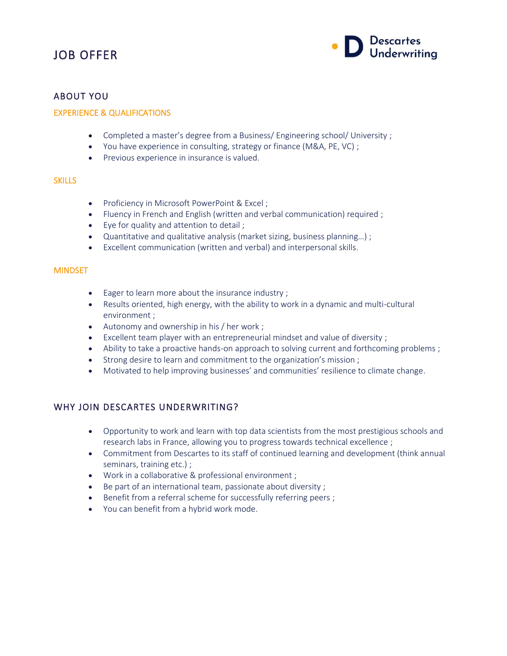# JOB OFFER



### ABOUT YOU

#### EXPERIENCE & QUALIFICATIONS

- Completed a master's degree from a Business/ Engineering school/ University ;
- You have experience in consulting, strategy or finance (M&A, PE, VC) ;
- Previous experience in insurance is valued.

#### **SKILLS**

- Proficiency in Microsoft PowerPoint & Excel ;
- Fluency in French and English (written and verbal communication) required ;
- Eye for quality and attention to detail ;
- Quantitative and qualitative analysis (market sizing, business planning…) ;
- Excellent communication (written and verbal) and interpersonal skills.

#### **MINDSET**

- Eager to learn more about the insurance industry ;
- Results oriented, high energy, with the ability to work in a dynamic and multi-cultural environment ;
- Autonomy and ownership in his / her work ;
- Excellent team player with an entrepreneurial mindset and value of diversity ;
- Ability to take a proactive hands-on approach to solving current and forthcoming problems;
- Strong desire to learn and commitment to the organization's mission ;
- Motivated to help improving businesses' and communities' resilience to climate change.

### WHY JOIN DESCARTES UNDERWRITING?

- Opportunity to work and learn with top data scientists from the most prestigious schools and research labs in France, allowing you to progress towards technical excellence ;
- Commitment from Descartes to its staff of continued learning and development (think annual seminars, training etc.) ;
- Work in a collaborative & professional environment ;
- Be part of an international team, passionate about diversity ;
- Benefit from a referral scheme for successfully referring peers;
- You can benefit from a hybrid work mode.